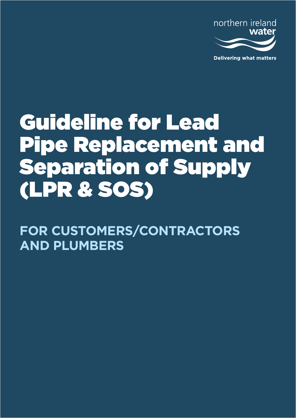

**Delivering what matters** 

# Guideline for Lead Pipe Replacement and Separation of Supply (LPR & SOS)

**FOR CUSTOMERS/CONTRACTORS AND PLUMBERS**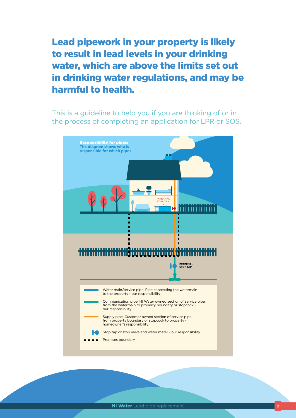Lead pipework in your property is likely to result in lead levels in your drinking water, which are above the limits set out in drinking water regulations, and may be harmful to health.

This is a guideline to help you if you are thinking of or in the process of completing an application for LPR or SOS.

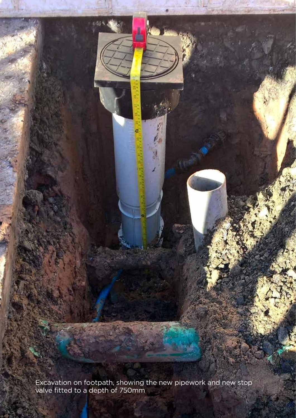Excavation on footpath, showing the new pipework and new stop valve fitted to a depth of 750mm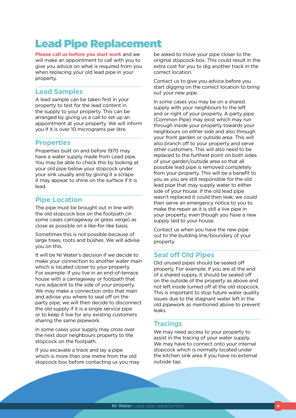## Lead Pipe Replacement

**Please call us before you start work** and we will make an appointment to call with you to give you advice on what is required from you when replacing your old lead pipe in your property.

### **Lead Samples**

A lead sample can be taken first in your property to test for the lead content in the supply to your property. This can be arranged by giving us a call to set up an appointment at your property. We will inform you if it is over 10 micrograms per litre.

### **Properties**

Properties built on and before 1970 may have a water supply made from Lead pipe. You may be able to check this by looking at your old pipe below your stopcock under your sink usually and by giving it a scrape it may appear to shine on the surface if it is lead.

### **Pipe Location**

The pipe must be brought out in line with the old stopcock box on the footpath (in some cases carriageway or grass verge) as close as possible on a like-for-like basis.

Sometimes this is not possible because of large trees, roots and bushes. We will advise you on this.

It will be NI Water's decision if we decide to make your connection to another water main which is located closer to your property. For example: if you live in an end-of-terrace house with a carriageway or footpath that runs adjacent to the side of your property. We may make a connection onto that main and advise you where to seal off on the party pipe; we will then decide to disconnect the old supply if it is a single service pipe or to keep it live for any existing customers sharing the same pipework.

In some cases your supply may cross over the next door neighbours property to the stopcock on the footpath.

If you excavate a track and lay a pipe which is more than one metre from the old stopcock box before contacting us you may be asked to move your pipe closer to the original stopcock box. This could result in the extra cost for you to dig another track in the correct location.

Contact us to give you advice before you start digging on the correct location to bring out your new pipe.

In some cases you may be on a shared supply with your neighbours to the left and or right of your property. A party pipe (Common Pipe) may exist which may run through inside your property towards your neighbours on either side and also through your front garden or outside area. This will also branch off to your property and serve other customers. This will also need to be replaced to the furthest point on both sides of your garden/outside area so that all possible lead pipe is removed completely from your property. This will be a benefit to you as you are still responsible for the old lead pipe that may supply water to either side of your house. If the old lead pipe wasn't replaced it could then leak; we could then serve an emergency notice to you to make the repair as it is still a live pipe in your property, even though you have a new supply laid to your house.

Contact us when you have the new pipe out to the building line/boundary of your property.

### **Seal off Old Pipes**

Old unused pipes should be sealed off properly. For example: if you are at the end of a shared supply, it should be sealed off on the outside of the property as above and not left inside turned off at the old stopcock. This is important to stop future water quality issues due to the stagnant water left in the old pipework as mentioned above to prevent leaks.

### **Tracings**

We may need access to your property to assist in the tracing of your water supply. We may have to connect onto your internal stopcock which is normally located under the kitchen sink area if you have no external outside tap.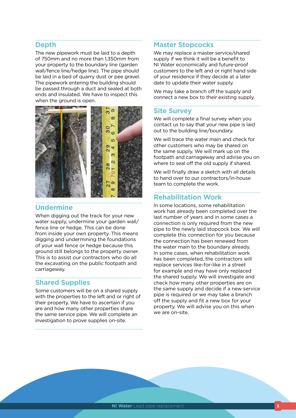### **Depth**

The new pipework must be laid to a depth of 750mm and no more than 1,350mm from your property to the boundary line (garden wall/fence line/hedge line). The pipe should be laid in a bed of quarry dust or pee gravel. The pipework entering the building should be passed through a duct and sealed at both ends and insulated. We have to inspect this when the ground is open.



### **Undermine**

When digging out the track for your new water supply, undermine your garden wall/ fence line or hedge. This can be done from inside your own property. This means digging and undermining the foundations of your wall fence or hedge because this ground still belongs to the property owner. This is to assist our contractors who do all the excavating on the public footpath and carriageway.

### **Shared Supplies**

Some customers will be on a shared supply with the properties to the left and or right of their property. We have to ascertain if you are and how many other properties share the same service pipe. We will complete an investigation to prove supplies on-site.

### **Master Stopcocks**

We may replace a master service/shared supply if we think it will be a benefit to NI Water economically and future-proof customers to the left and or right hand side of your residence if they decide at a later date to update their water supply.

We may take a branch off the supply and connect a new box to their existing supply.

### **Site Survey**

We will complete a final survey when you contact us to say that your new pipe is laid out to the building line/boundary.

We will trace the water main and check for other customers who may be shared on the same supply. We will mark up on the footpath and carriageway and advise you on where to seal off the old supply if shared.

We will finally draw a sketch with all details to hand over to our contractors/in-house team to complete the work.

### **Rehabilitation Work**

In some locations, some rehabilitation work has already been completed over the last number of years and in some cases a connection is only required from the new pipe to the newly laid stopcock box. We will complete this connection for you because the connection has been renewed from the water main to the boundary already. In some cases, when rehabilitation work has been completed, the contractors will replace services like-for-like in a street for example and may have only replaced the shared supply. We will investigate and check how many other properties are on the same supply and decide if a new service pipe is required or we may take a branch off the supply and fit a new box for your property. We will advise you on this when we are on-site.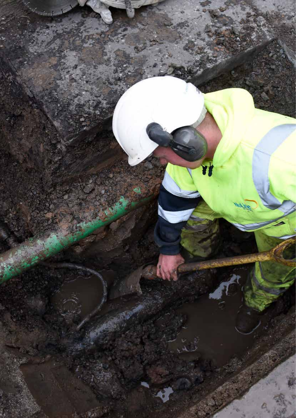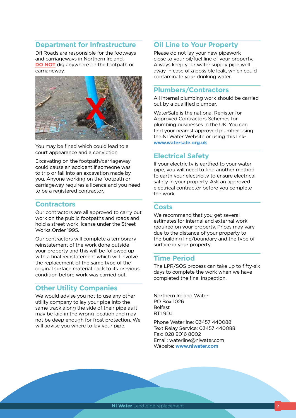### **Department for Infrastructure**

DfI Roads are responsible for the footways and carriageways in Northern Ireland. **DO NOT** dig anywhere on the footpath or carriageway.



You may be fined which could lead to a court appearance and a conviction.

Excavating on the footpath/carriageway could cause an accident if someone was to trip or fall into an excavation made by you. Anyone working on the footpath or carriageway requires a licence and you need to be a registered contractor.

### **Contractors**

Our contractors are all approved to carry out work on the public footpaths and roads and hold a street work license under the Street Works Order 1995.

Our contractors will complete a temporary reinstatement of the work done outside your property and this will be followed up with a final reinstatement which will involve the replacement of the same type of the original surface material back to its previous condition before work was carried out.

### **Other Utility Companies**

We would advise you not to use any other utility company to lay your pipe into the same track along the side of their pipe as it may be laid in the wrong location and may not be deep enough for frost protection. We will advise you where to lay your pipe.

### **Oil Line to Your Property**

Please do not lay your new pipework close to your oil/fuel line of your property. Always keep your water supply pipe well away in case of a possible leak, which could contaminate your drinking water.

### **Plumbers/Contractors**

All internal plumbing work should be carried out by a qualified plumber.

WaterSafe is the national Register for Approved Contractors Schemes for plumbing businesses in the UK. You can find your nearest approved plumber using the NI Water Website or using this link**[www.watersafe.org.uk](https://www.watersafe.org.uk/)**

### **Electrical Safety**

If your electricity is earthed to your water pipe, you will need to find another method to earth your electricity to ensure electrical safety in your property. Ask an approved electrical contractor before you complete the work.

### **Costs**

We recommend that you get several estimates for internal and external work required on your property. Prices may vary due to the distance of your property to the building line/boundary and the type of surface in your property.

### **Time Period**

The LPR/SOS process can take up to fifty-six days to complete the work when we have completed the final inspection.

Northern Ireland Water PO Box 1026 Belfast BT1 9DJ

Phone Waterline: 03457 440088 Text Relay Service: 03457 440088 Fax: 028 9016 8002 Email: waterline@niwater.com Website: **www.niwater.com**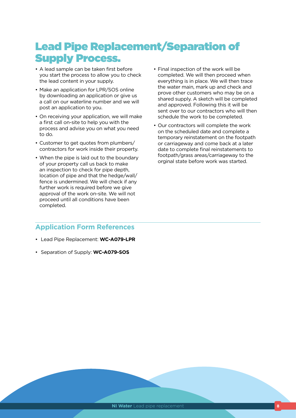### Lead Pipe Replacement/Separation of Supply Process.

- A lead sample can be taken first before you start the process to allow you to check the lead content in your supply.
- Make an application for LPR/SOS online by downloading an application or give us a call on our waterline number and we will post an application to you.
- On receiving your application, we will make a first call on-site to help you with the process and advise you on what you need to do.
- Customer to get quotes from plumbers/ contractors for work inside their property.
- When the pipe is laid out to the boundary of your property call us back to make an inspection to check for pipe depth, location of pipe and that the hedge/wall/ fence is undermined. We will check if any further work is required before we give approval of the work on-site. We will not proceed until all conditions have been completed.
- Final inspection of the work will be completed. We will then proceed when everything is in place. We will then trace the water main, mark up and check and prove other customers who may be on a shared supply. A sketch will be completed and approved. Following this it will be sent over to our contractors who will then schedule the work to be completed.
- Our contractors will complete the work on the scheduled date and complete a temporary reinstatement on the footpath or carriageway and come back at a later date to complete final reinstatements to footpath/grass areas/carriageway to the orginal state before work was started.

### **Application Form References**

- Lead Pipe Replacement: **WC-A079-LPR**
- Separation of Supply: **WC-A079-SOS**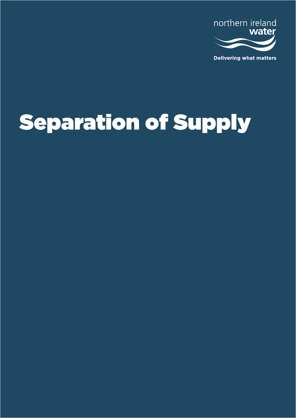

**Delivering what matters** 

# Separation of Supply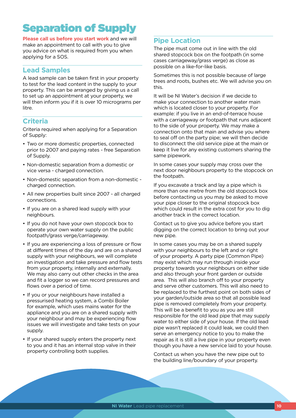## Separation of Supply

**Please call us before you start work** and we will make an appointment to call with you to give you advice on what is required from you when applying for a SOS.

### **Lead Samples**

A lead sample can be taken first in your property to test for the lead content in the supply to your property. This can be arranged by giving us a call to set up an appointment at your property, we will then inform you if it is over 10 micrograms per litre.

### **Criteria**

Criteria required when applying for a Separation of Supply:

- Two or more domestic properties, connected prior to 2007 and paying rates - free Separation of Supply.
- Non-domestic separation from a domestic or vice versa - charged connection.
- Non-domestic separation from a non-domestic charged connection.
- All new properties built since 2007 all charged connections.
- If you are on a shared lead supply with your neighbours.
- If you do not have your own stopcock box to operate your own water supply on the public footpath/grass verge/carriageway.
- If you are experiencing a loss of pressure or flow at different times of the day and are on a shared supply with your neighbours, we will complete an investigation and take pressure and flow tests from your property, internally and externally. We may also carry out other checks in the area and fit a logger so we can record pressures and flows over a period of time.
- If you or your neighbours have installed a pressurised heating system, a Combi Boiler for example, which uses mains water for the appliance and you are on a shared supply with your neighbour and may be experiencing flow issues we will investigate and take tests on your supply.
- If your shared supply enters the property next to you and it has an internal stop valve in their property controlling both supplies.

### **Pipe Location**

The pipe must come out in line with the old shared stopcock box on the footpath (in some cases carriageway/grass verge) as close as possible on a like-for-like basis.

Sometimes this is not possible because of large trees and roots, bushes etc. We will advise you on this.

It will be NI Water's decision if we decide to make your connection to another water main which is located closer to your property. For example: if you live in an end-of-terrace house with a carriageway or footpath that runs adjacent to the side of your property. We may make a connection onto that main and advise you where to seal off on the party pipe; we will then decide to disconnect the old service pipe at the main or keep it live for any existing customers sharing the same pipework.

In some cases your supply may cross over the next door neighbours property to the stopcock on the footpath.

If you excavate a track and lay a pipe which is more than one metre from the old stopcock box before contacting us you may be asked to move your pipe closer to the original stopcock box which could result in the extra cost for you to dig another track in the correct location.

Contact us to give you advice before you start digging on the correct location to bring out your new pipe.

In some cases you may be on a shared supply with your neighbours to the left and or right of your property. A party pipe (Common Pipe) may exist which may run through inside your property towards your neighbours on either side and also through your front garden or outside area. This will also branch off to your property and serve other customers. This will also need to be replaced to the furthest point on both sides of your garden/outside area so that all possible lead pipe is removed completely from your property. This will be a benefit to you as you are still responsible for the old lead pipe that may supply water to either side of your house. If the old lead pipe wasn't replaced it could leak, we could then serve an emergency notice to you to make the repair as it is still a live pipe in your property even though you have a new service laid to your house.

Contact us when you have the new pipe out to the building line/boundary of your property.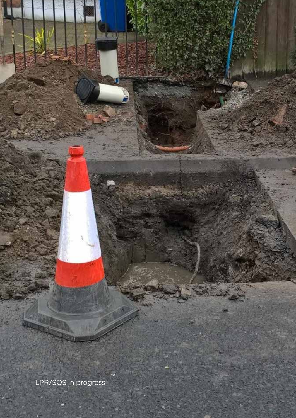LPR/SOS in progress

в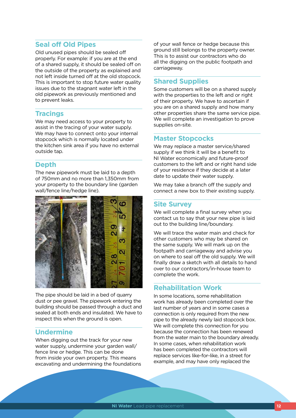### **Seal off Old Pipes**

Old unused pipes should be sealed off properly. For example: if you are at the end of a shared supply, it should be sealed off on the outside of the property as explained and not left inside turned off at the old stopcock. This is important to stop future water quality issues due to the stagnant water left in the old pipework as previously mentioned and to prevent leaks.

### **Tracings**

We may need access to your property to assist in the tracing of your water supply. We may have to connect onto your internal stopcock which is normally located under the kitchen sink area if you have no external outside tap.

### **Depth**

The new pipework must be laid to a depth of 750mm and no more than 1,350mm from your property to the boundary line (garden wall/fence line/hedge line).



The pipe should be laid in a bed of quarry dust or pee gravel. The pipework entering the building should be passed through a duct and sealed at both ends and insulated. We have to inspect this when the ground is open.

### **Undermine**

When digging out the track for your new water supply, undermine your garden wall/ fence line or hedge. This can be done from inside your own property. This means excavating and undermining the foundations of your wall fence or hedge because this ground still belongs to the property owner. This is to assist our contractors who do all the digging on the public footpath and carriageway.

### **Shared Supplies**

Some customers will be on a shared supply with the properties to the left and or right of their property. We have to ascertain if you are on a shared supply and how many other properties share the same service pipe. We will complete an investigation to prove supplies on-site.

### **Master Stopcocks**

We may replace a master service/shared supply if we think it will be a benefit to NI Water economically and future-proof customers to the left and or right hand side of your residence if they decide at a later date to update their water supply.

We may take a branch off the supply and connect a new box to their existing supply.

### **Site Survey**

We will complete a final survey when you contact us to say that your new pipe is laid out to the building line/boundary.

We will trace the water main and check for other customers who may be shared on the same supply. We will mark up on the footpath and carriageway and advise you on where to seal off the old supply. We will finally draw a sketch with all details to hand over to our contractors/in-house team to complete the work.

### **Rehabilitation Work**

In some locations, some rehabilitation work has already been completed over the last number of years and in some cases a connection is only required from the new pipe to the already newly laid stopcock box. We will complete this connection for you because the connection has been renewed from the water main to the boundary already. In some cases, when rehabilitation work has been completed the contractors will replace services like-for-like, in a street for example, and may have only replaced the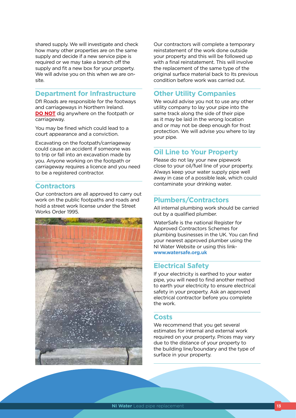shared supply. We will investigate and check how many other properties are on the same supply and decide if a new service pipe is required or we may take a branch off the supply and fit a new box for your property. We will advise you on this when we are onsite.

#### **Department for Infrastructure**

DfI Roads are responsible for the footways and carriageways in Northern Ireland. **DO NOT** dig anywhere on the footpath or carriageway.

You may be fined which could lead to a court appearance and a conviction.

Excavating on the footpath/carriageway could cause an accident if someone was to trip or fall into an excavation made by you. Anyone working on the footpath or carriageway requires a licence and you need to be a registered contractor.

### **Contractors**

Our contractors are all approved to carry out work on the public footpaths and roads and hold a street work license under the Street Works Order 1995.



Our contractors will complete a temporary reinstatement of the work done outside your property and this will be followed up with a final reinstatement. This will involve the replacement of the same type of the original surface material back to Its previous condition before work was carried out.

### **Other Utility Companies**

We would advise you not to use any other utility company to lay your pipe into the same track along the side of their pipe as it may be laid in the wrong location and or may not be deep enough for frost protection. We will advise you where to lay your pipe.

### **Oil Line to Your Property**

Please do not lay your new pipework close to your oil/fuel line of your property. Always keep your water supply pipe well away in case of a possible leak, which could contaminate your drinking water.

### **Plumbers/Contractors**

All internal plumbing work should be carried out by a qualified plumber.

WaterSafe is the national Register for Approved Contractors Schemes for plumbing businesses in the UK. You can find your nearest approved plumber using the NI Water Website or using this link**[www.watersafe.org.uk](https://www.watersafe.org.uk/)**

### **Electrical Safety**

If your electricity is earthed to your water pipe, you will need to find another method to earth your electricity to ensure electrical safety in your property. Ask an approved electrical contractor before you complete the work.

### **Costs**

We recommend that you get several estimates for internal and external work required on your property. Prices may vary due to the distance of your property to the building line/boundary and the type of surface in your property.